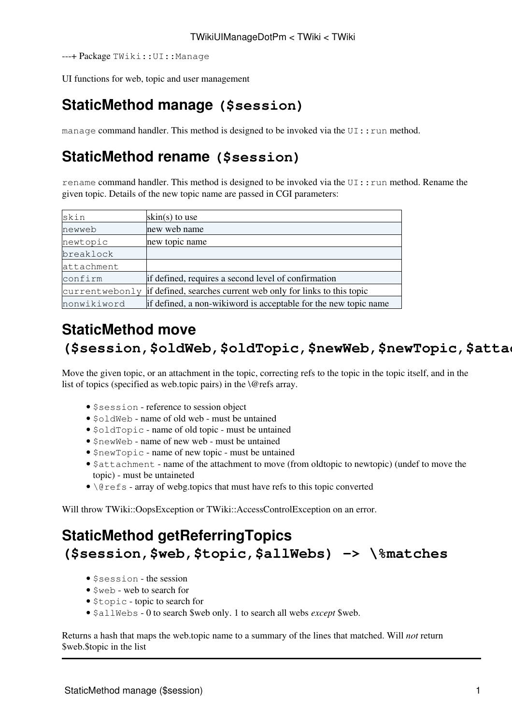---+ Package TWiki::UI::Manage

UI functions for web, topic and user management

### **[StaticMethod](https://wiki-igi.cnaf.infn.it/twiki/bin/view/TWiki/StaticMethod) manage (\$session)**

manage command handler. This method is designed to be invoked via the  $UI:run$  method.

## **[StaticMethod](https://wiki-igi.cnaf.infn.it/twiki/bin/view/TWiki/StaticMethod) rename (\$session)**

rename command handler. This method is designed to be invoked via the UI:: run method. Rename the given topic. Details of the new topic name are passed in CGI parameters:

| skin           | skin(s) to use                                                  |
|----------------|-----------------------------------------------------------------|
| newweb         | new web name                                                    |
| newtopic       | new topic name                                                  |
| breaklock      |                                                                 |
| attachment     |                                                                 |
| confirm        | if defined, requires a second level of confirmation             |
| currentwebonly | if defined, searches current web only for links to this topic   |
| nonwikiword    | if defined, a non-wikiword is acceptable for the new topic name |

### **[StaticMethod](https://wiki-igi.cnaf.infn.it/twiki/bin/view/TWiki/StaticMethod) move (\$session,\$oldWeb,\$oldTopic,\$newWeb,\$newTopic,\$attachment,\@refs)**

Move the given topic, or an attachment in the topic, correcting refs to the topic in the topic itself, and in the list of topics (specified as web.topic pairs) in the *\@refs* array.

- \$session reference to session object
- \$oldWeb name of old web must be untained
- $\delta$ oldTopic name of old topic must be untained
- $s$ newWeb name of new web must be untained
- \$newTopic name of new topic must be untained
- \$attachment name of the attachment to move (from oldtopic to newtopic) (undef to move the topic) - must be untaineted
- \@refs array of webg.topics that must have refs to this topic converted

Will throw TWiki::OopsException or TWiki::AccessControlException on an error.

# **[StaticMethod](https://wiki-igi.cnaf.infn.it/twiki/bin/view/TWiki/StaticMethod) getReferringTopics (\$session,\$web,\$topic,\$allWebs) -> \%matches**

- \$session the session
- Sweb web to search for
- \$topic topic to search for
- \$allWebs 0 to search \$web only. 1 to search all webs *except* \$web.

Returns a hash that maps the web.topic name to a summary of the lines that matched. Will *not* return \$web.\$topic in the list